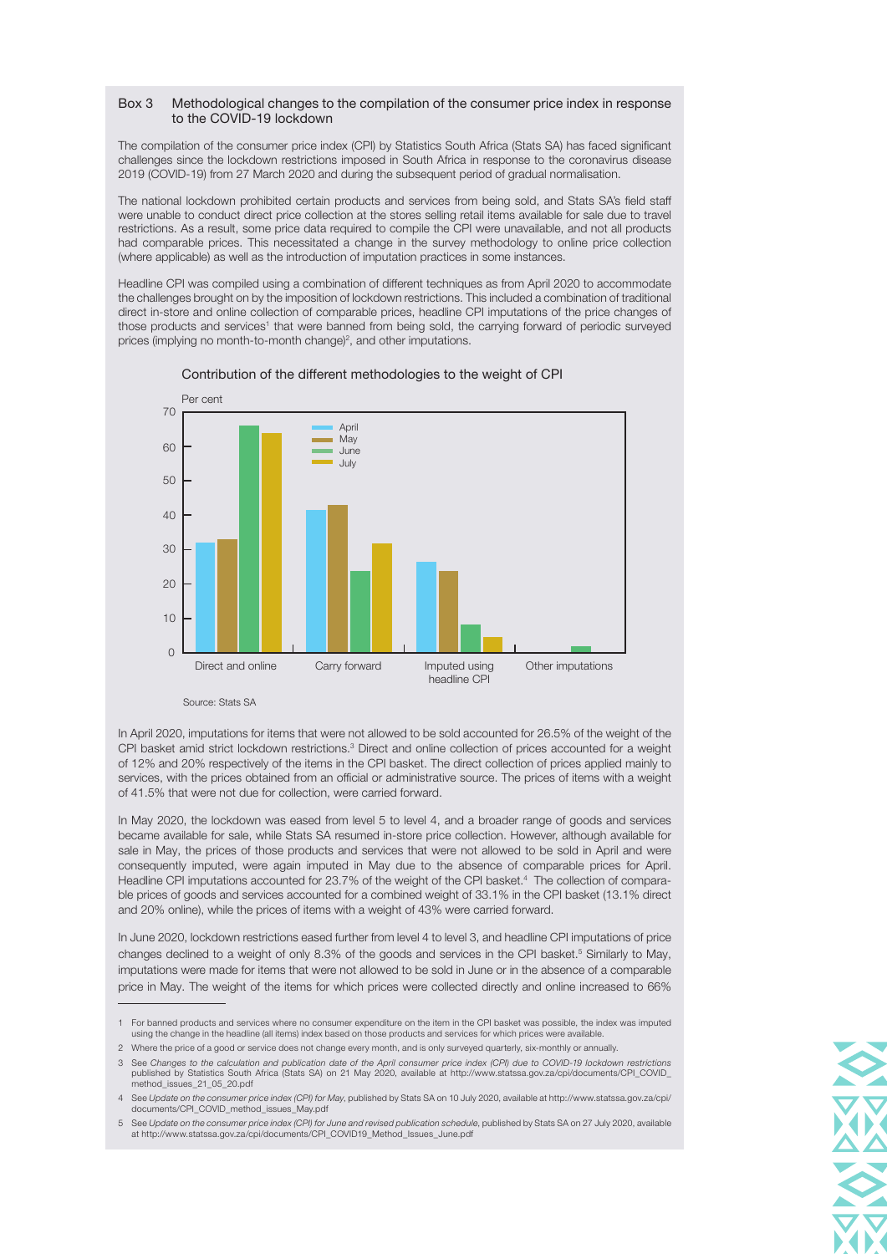## Box 3 Methodological changes to the compilation of the consumer price index in response to the COVID-19 lockdown

The compilation of the consumer price index (CPI) by Statistics South Africa (Stats SA) has faced significant challenges since the lockdown restrictions imposed in South Africa in response to the coronavirus disease 2019 (COVID-19) from 27 March 2020 and during the subsequent period of gradual normalisation.

The national lockdown prohibited certain products and services from being sold, and Stats SA's field staff were unable to conduct direct price collection at the stores selling retail items available for sale due to travel restrictions. As a result, some price data required to compile the CPI were unavailable, and not all products had comparable prices. This necessitated a change in the survey methodology to online price collection (where applicable) as well as the introduction of imputation practices in some instances.

Headline CPI was compiled using a combination of different techniques as from April 2020 to accommodate the challenges brought on by the imposition of lockdown restrictions. This included a combination of traditional direct in-store and online collection of comparable prices, headline CPI imputations of the price changes of those products and services<sup>1</sup> that were banned from being sold, the carrying forward of periodic surveyed prices (implying no month-to-month change)<sup>2</sup>, and other imputations.



Contribution of the different methodologies to the weight of CPI

Source: Stats SA

In April 2020, imputations for items that were not allowed to be sold accounted for 26.5% of the weight of the CPI basket amid strict lockdown restrictions.<sup>3</sup> Direct and online collection of prices accounted for a weight of 12% and 20% respectively of the items in the CPI basket. The direct collection of prices applied mainly to services, with the prices obtained from an official or administrative source. The prices of items with a weight of 41.5% that were not due for collection, were carried forward.

In May 2020, the lockdown was eased from level 5 to level 4, and a broader range of goods and services became available for sale, while Stats SA resumed in-store price collection. However, although available for sale in May, the prices of those products and services that were not allowed to be sold in April and were consequently imputed, were again imputed in May due to the absence of comparable prices for April. Headline CPI imputations accounted for 23.7% of the weight of the CPI basket.<sup>4</sup> The collection of comparable prices of goods and services accounted for a combined weight of 33.1% in the CPI basket (13.1% direct and 20% online), while the prices of items with a weight of 43% were carried forward.

In June 2020, lockdown restrictions eased further from level 4 to level 3, and headline CPI imputations of price changes declined to a weight of only 8.3% of the goods and services in the CPI basket.<sup>5</sup> Similarly to May, imputations were made for items that were not allowed to be sold in June or in the absence of a comparable price in May. The weight of the items for which prices were collected directly and online increased to 66%

2 Where the price of a good or service does not change every month, and is only surveyed quarterly, six-monthly or annually.



<sup>1</sup> For banned products and services where no consumer expenditure on the item in the CPI basket was possible, the index was imputed using the change in the headline (all items) index based on those products and services for which prices were available.

<sup>3</sup> See Changes to the calculation and publication date of the April consumer price index (CPI) due to COVID-19 lockdown restrictions published by Statistics South Africa (Stats SA) on 21 May 2020, available at [http://www.statssa.gov.za/cpi/documents/CPI\\_COVID\\_](http://www.statssa.gov.za/cpi/documents/CPI_COVID_method_issues_21_05_20.pdf) [method\\_issues\\_21\\_05\\_20.pdf](http://www.statssa.gov.za/cpi/documents/CPI_COVID_method_issues_21_05_20.pdf)

<sup>4</sup> See Update on the consumer price index (CPI) for May, published by Stats SA on 10 July 2020, available at [http://www.statssa.gov.za/cpi/](http://www.statssa.gov.za/cpi/documents/CPI_COVID_method_issues_May.pdf)<br>[documents/CPI\\_COVID\\_method\\_issues\\_May.pdf](http://www.statssa.gov.za/cpi/documents/CPI_COVID_method_issues_May.pdf)

<sup>5</sup> See Update on the consumer price index (CPI) for June and revised publication schedule, published by Stats SA on 27 July 2020, available at [http://www.statssa.gov.za/cpi/documents/CPI\\_COVID19\\_Method\\_Issues\\_June.pdf](http://www.statssa.gov.za/cpi/documents/CPI_COVID19_Method_Issues_June.pdf)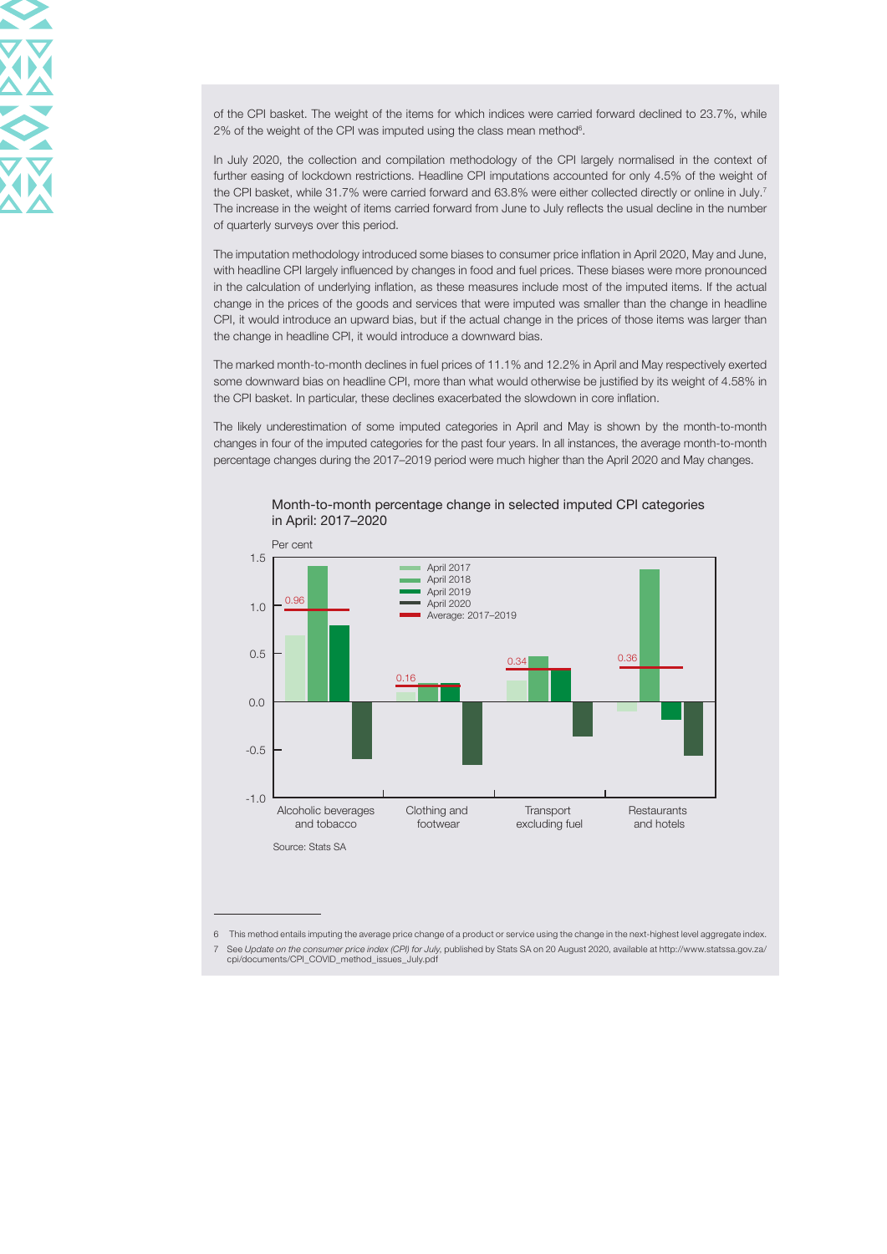of the CPI basket. The weight of the items for which indices were carried forward declined to 23.7%, while  $2\%$  of the weight of the CPI was imputed using the class mean method<sup>6</sup>.

In July 2020, the collection and compilation methodology of the CPI largely normalised in the context of further easing of lockdown restrictions. Headline CPI imputations accounted for only 4.5% of the weight of the CPI basket, while 31.7% were carried forward and 63.8% were either collected directly or online in July.7 The increase in the weight of items carried forward from June to July reflects the usual decline in the number of quarterly surveys over this period.

The imputation methodology introduced some biases to consumer price inflation in April 2020, May and June, with headline CPI largely influenced by changes in food and fuel prices. These biases were more pronounced in the calculation of underlying inflation, as these measures include most of the imputed items. If the actual change in the prices of the goods and services that were imputed was smaller than the change in headline CPI, it would introduce an upward bias, but if the actual change in the prices of those items was larger than the change in headline CPI, it would introduce a downward bias.

The marked month-to-month declines in fuel prices of 11.1% and 12.2% in April and May respectively exerted some downward bias on headline CPI, more than what would otherwise be justified by its weight of 4.58% in the CPI basket. In particular, these declines exacerbated the slowdown in core inflation.

The likely underestimation of some imputed categories in April and May is shown by the month-to-month changes in four of the imputed categories for the past four years. In all instances, the average month-to-month percentage changes during the 2017–2019 period were much higher than the April 2020 and May changes.



## Month-to-month percentage change in selected imputed CPI categories in April: 2017–2020

6 This method entails imputing the average price change of a product or service using the change in the next-highest level aggregate index. 7 See Update on the consumer price index (CPI) for July, published by Stats SA on 20 August 2020, available at [http://www.statssa.gov.za/](http://www.statssa.gov.za/cpi/documents/CPI_COVID_method_issues_July.pdf) [cpi/documents/CPI\\_COVID\\_method\\_issues\\_July.pdf](http://www.statssa.gov.za/cpi/documents/CPI_COVID_method_issues_July.pdf)